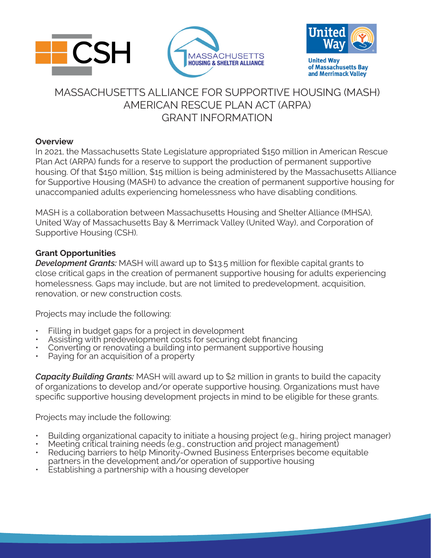



**United Way** of Massachusetts Bay and Merrimack Valley

# MASSACHUSETTS ALLIANCE FOR SUPPORTIVE HOUSING (MASH) AMERICAN RESCUE PLAN ACT (ARPA) GRANT INFORMATION

#### **Overview**

In 2021, the Massachusetts State Legislature appropriated \$150 million in American Rescue Plan Act (ARPA) funds for a reserve to support the production of permanent supportive housing. Of that \$150 million, \$15 million is being administered by the Massachusetts Alliance for Supportive Housing (MASH) to advance the creation of permanent supportive housing for unaccompanied adults experiencing homelessness who have disabling conditions.

MASH is a collaboration between Massachusetts Housing and Shelter Alliance (MHSA), United Way of Massachusetts Bay & Merrimack Valley (United Way), and Corporation of Supportive Housing (CSH).

#### **Grant Opportunities**

*Development Grants:* MASH will award up to \$13.5 million for flexible capital grants to close critical gaps in the creation of permanent supportive housing for adults experiencing homelessness. Gaps may include, but are not limited to predevelopment, acquisition, renovation, or new construction costs.

Projects may include the following:

- Filling in budget gaps for a project in development
- Assisting with predevelopment costs for securing debt financing
- Converting or renovating a building into permanent supportive housing
- Paying for an acquisition of a property

*Capacity Building Grants:* MASH will award up to \$2 million in grants to build the capacity of organizations to develop and/or operate supportive housing. Organizations must have specific supportive housing development projects in mind to be eligible for these grants.

Projects may include the following:

- Building organizational capacity to initiate a housing project (e.g., hiring project manager)
- Meeting critical training needs (e.g., construction and project management)
- Reducing barriers to help Minority-Owned Business Enterprises become equitable partners in the development and/or operation of supportive housing
- Establishing a partnership with a housing developer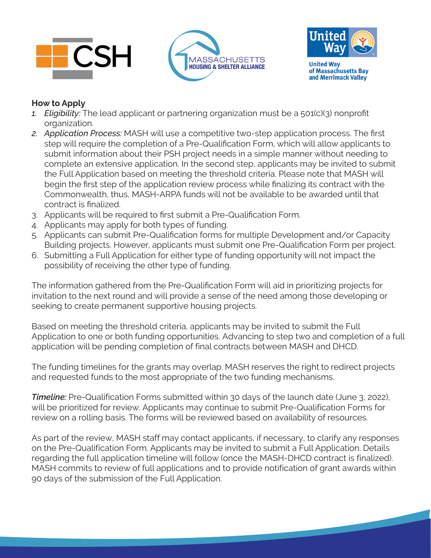





**United Way** of Massachusetts Bay and Merrimack Valley

## **How to Apply**

- *1. Eligibility:* The lead applicant or partnering organization must be a 501(c)(3) nonprofit organization.
- *2. Application Process:* MASH will use a competitive two-step application process. The first step will require the completion of a Pre-Qualification Form, which will allow applicants to submit information about their PSH project needs in a simple manner without needing to complete an extensive application. In the second step, applicants may be invited to submit the Full Application based on meeting the threshold criteria. Please note that MASH will begin the first step of the application review process while finalizing its contract with the Commonwealth, thus, MASH-ARPA funds will not be available to be awarded until that contract is finalized.
- 3. Applicants will be required to first submit a Pre-Qualification Form.
- 4. Applicants may apply for both types of funding.
- 5. Applicants can submit Pre-Qualification forms for multiple Development and/or Capacity Building projects. However, applicants must submit one Pre-Qualification Form per project.
- 6. Submitting a Full Application for either type of funding opportunity will not impact the possibility of receiving the other type of funding.

The information gathered from the Pre-Qualification Form will aid in prioritizing projects for invitation to the next round and will provide a sense of the need among those developing or seeking to create permanent supportive housing projects.

Based on meeting the threshold criteria, applicants may be invited to submit the Full Application to one or both funding opportunities. Advancing to step two and completion of a full application will be pending completion of final contracts between MASH and DHCD.

The funding timelines for the grants may overlap. MASH reserves the right to redirect projects and requested funds to the most appropriate of the two funding mechanisms.

**Timeline:** Pre-Qualification Forms submitted within 30 days of the launch date (June 3, 2022), will be prioritized for review. Applicants may continue to submit Pre-Qualification Forms for review on a rolling basis. The forms will be reviewed based on availability of resources.

As part of the review, MASH staff may contact applicants, if necessary, to clarify any responses on the Pre-Qualification Form. Applicants may be invited to submit a Full Application. Details regarding the full application timeline will follow (once the MASH-DHCD contract is finalized). MASH commits to review of full applications and to provide notification of grant awards within 90 days of the submission of the Full Application.